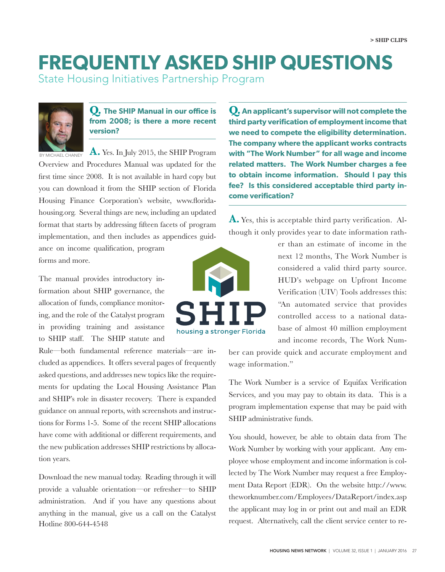## **FREQUENTLY ASKED SHIP QUESTIONS**

State Housing Initiatives Partnership Program



## **Q. The SHIP Manual in our office is from 2008; is there a more recent version?**

**A.** Yes. In July 2015, the SHIP Program Overview and Procedures Manual was updated for the first time since 2008. It is not available in hard copy but you can download it from the SHIP section of Florida Housing Finance Corporation's website, www.floridahousing.org. Several things are new, including an updated format that starts by addressing fifteen facets of program implementation, and then includes as appendices guid-BY MICHAEL CHANEY

ance on income qualification, program forms and more.

The manual provides introductory information about SHIP governance, the allocation of funds, compliance monitoring, and the role of the Catalyst program in providing training and assistance to SHIP staff. The SHIP statute and

Rule—both fundamental reference materials—are included as appendices. It offers several pages of frequently asked questions, and addresses new topics like the requirements for updating the Local Housing Assistance Plan and SHIP's role in disaster recovery. There is expanded guidance on annual reports, with screenshots and instructions for Forms 1-5. Some of the recent SHIP allocations have come with additional or different requirements, and the new publication addresses SHIP restrictions by allocation years.

Download the new manual today. Reading through it will provide a valuable orientation—or refresher—to SHIP administration. And if you have any questions about anything in the manual, give us a call on the Catalyst Hotline 800-644-4548

**third party verification of employment income that we need to compete the eligibility determination. The company where the applicant works contracts with "The Work Number" for all wage and income related matters. The Work Number charges a fee to obtain income information. Should I pay this fee? Is this considered acceptable third party income verification?** 

**Q. An applicant's supervisor will not complete the**

**A.** Yes, this is acceptable third party verification. Although it only provides year to date information rath-



er than an estimate of income in the next 12 months, The Work Number is considered a valid third party source. HUD's webpage on Upfront Income Verification (UIV) Tools addresses this: "An automated service that provides controlled access to a national database of almost 40 million employment and income records, The Work Num-

ber can provide quick and accurate employment and wage information."

The Work Number is a service of Equifax Verification Services, and you may pay to obtain its data. This is a program implementation expense that may be paid with SHIP administrative funds.

You should, however, be able to obtain data from The Work Number by working with your applicant. Any employee whose employment and income information is collected by The Work Number may request a free Employment Data Report (EDR). On the website http://www. theworknumber.com/Employees/DataReport/index.asp the applicant may log in or print out and mail an EDR request. Alternatively, call the client service center to re-